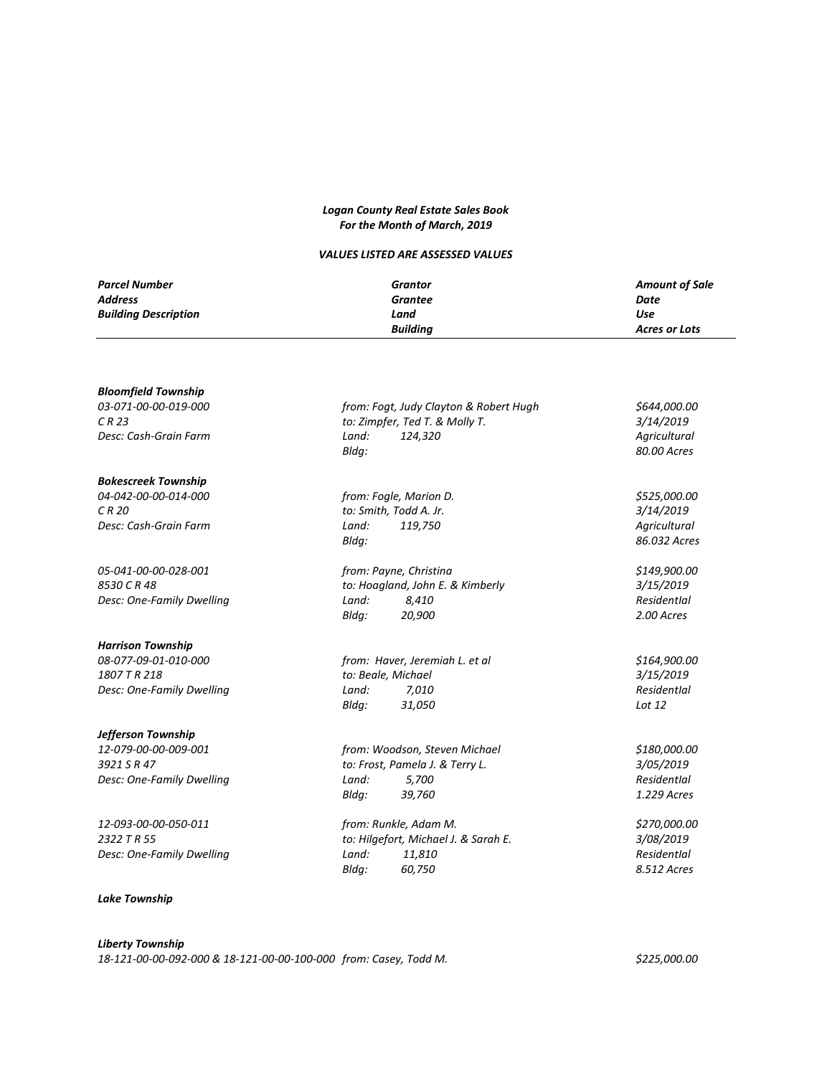#### *Logan County Real Estate Sales Book For the Month of March, 2019*

### *VALUES LISTED ARE ASSESSED VALUES*

| Parcel Number               | Grantor         | <b>Amount of Sale</b> |
|-----------------------------|-----------------|-----------------------|
| Address                     | <b>Grantee</b>  | Date                  |
| <b>Building Description</b> | Land            | Use                   |
|                             | <b>Building</b> | <b>Acres or Lots</b>  |

#### *Bloomfield Township*

# *Bokescreek Township*

*Desc: One-Family Dwelling Land: 8,410 ResidentIal*

#### *Harrison Township*

#### *Jefferson Township*

*Desc: One-Family Dwelling Land:* 5,700

#### *Lake Township*

*03-071-00-00-019-000 from: Fogt, Judy Clayton & Robert Hugh \$644,000.00 C R 23 to: Zimpfer, Ted T. & Molly T. 3/14/2019 Desc: Cash-Grain Farm Land: 124,320 Agricultural Bldg: 80.00 Acres*

*04-042-00-00-014-000 from: Fogle, Marion D. \$525,000.00 C R 20 to: Smith, Todd A. Jr. 3/14/2019 Desc: Cash-Grain Farm Land: 119,750 Agricultural Bldg: 86.032 Acres 05-041-00-00-028-001 from: Payne, Christina \$149,900.00 8530 C R 48 to: Hoagland, John E. & Kimberly 3/15/2019*

*08-077-09-01-010-000 from: Haver, Jeremiah L. et al \$164,900.00 1807 T R 218 to: Beale, Michael 3/15/2019 Desc: One-Family Dwelling Land: 7,010 ResidentIal Bldg: 31,050 Lot 12*

*12-079-00-00-009-001 from: Woodson, Steven Michael \$180,000.00 3921 S R 47 to: Frost, Pamela J. & Terry L. 3/05/2019 Bldg: 39,760 1.229 Acres*

*12-093-00-00-050-011 from: Runkle, Adam M. \$270,000.00 2322 T R 55 to: Hilgefort, Michael J. & Sarah E. 3/08/2019 Desc: One-Family Dwelling Land: 11,810 ResidentIal Bldg: 60,750 8.512 Acres*

*Bldg: 20,900 2.00 Acres*

## *Liberty Township 18-121-00-00-092-000 & 18-121-00-00-100-000 from: Casey, Todd M. \$225,000.00*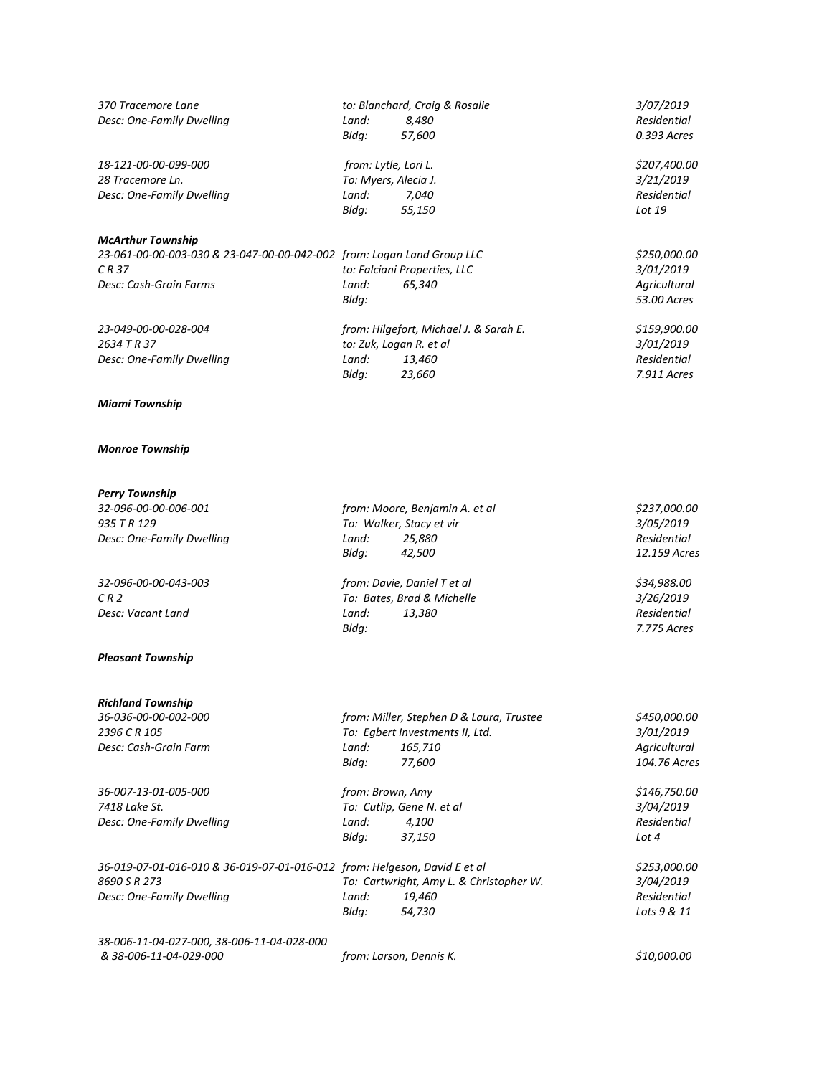| 370 Tracemore Lane        |       | to: Blanchard, Craig & Rosalie | <i>3/07/2019</i> |
|---------------------------|-------|--------------------------------|------------------|
| Desc: One-Family Dwelling | Land: | 8.480                          | Residential      |

*18-121-00-00-099-000 from: Lytle, Lori L. \$207,400.00 28 Tracemore Ln. To: Myers, Alecia J. 3/21/2019*

#### *McArthur Township*

#### *Miami Township*

#### *Monroe Township*

#### *Perry Township*

*32-096-00-00-006-001 from: Moore, Benjamin A. et al \$237,000.00 935 T R 129 To: Walker, Stacy et vir 3/05/2019 Desc: One-Family Dwelling Land: 25,880 Residential*

#### *Pleasant Township*

#### *Richland Township*

*36-007-13-01-005-000 from: Brown, Amy \$146,750.00 7418 Lake St. To: Cutlip, Gene N. et al 3/04/2019 Desc: One-Family Dwelling Land: 4,100* 

*Bldg: 57,600 0.393 Acres*

*Desc: One-Family Dwelling Land: 7,040 Residential Bldg: 55,150 Lot 19*

*23-061-00-00-003-030 & 23-047-00-00-042-002 from: Logan Land Group LLC \$250,000.00 C R 37 to: Falciani Properties, LLC 3/01/2019 Desc: Cash-Grain Farms Land: 65,340 Agricultural Bldg: 53.00 Acres*

*23-049-00-00-028-004 from: Hilgefort, Michael J. & Sarah E. \$159,900.00 2634 T R 37 to: Zuk, Logan R. et al 3/01/2019 Desc: One-Family Dwelling Land: 13,460 Residential Bldg: 23,660 7.911 Acres*

*370 Tracemore Lane to: Blanchard, Craig & Rosalie 3/07/2019*

*32-096-00-00-043-003 from: Davie, Daniel T et al \$34,988.00 C R 2 To: Bates, Brad & Michelle 3/26/2019 Desc: Vacant Land Land: 13,380 Residential Bldg: 7.775 Acres*

*Bldg: 42,500 12.159 Acres*

*36-036-00-00-002-000 from: Miller, Stephen D & Laura, Trustee \$450,000.00 2396 C R 105 To: Egbert Investments II, Ltd. 3/01/2019 Desc: Cash-Grain Farm Land: 165,710 Agricultural Bldg: 77,600 104.76 Acres*

*Bldg: 37,150 Lot 4*

*36-019-07-01-016-010 & 36-019-07-01-016-012 from: Helgeson, David E et al \$253,000.00 8690 S R 273 To: Cartwright, Amy L. & Christopher W. 3/04/2019 Desc: One-Family Dwelling Land: 19,460 Residential Bldg: 54,730 Lots 9 & 11*

*38-006-11-04-027-000, 38-006-11-04-028-000 & 38-006-11-04-029-000 from: Larson, Dennis K. \$10,000.00*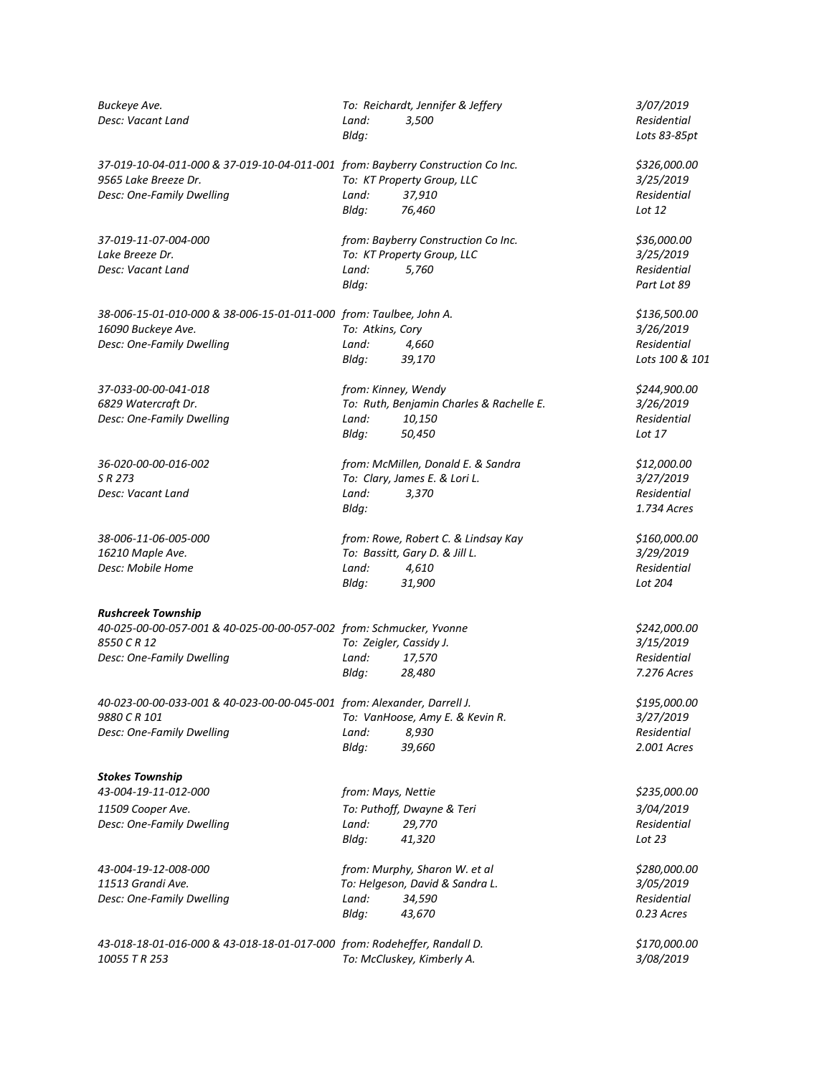| Buckeye Ave.                                                                    |                  | To: Reichardt, Jennifer & Jeffery        | 3/07/2019                  |
|---------------------------------------------------------------------------------|------------------|------------------------------------------|----------------------------|
| Desc: Vacant Land                                                               | Land:            | 3,500                                    | Residential                |
|                                                                                 | Bldg:            |                                          | Lots 83-85pt               |
| 37-019-10-04-011-000 & 37-019-10-04-011-001 from: Bayberry Construction Co Inc. |                  |                                          | \$326,000.00               |
| 9565 Lake Breeze Dr.                                                            |                  | To: KT Property Group, LLC               | 3/25/2019                  |
| Desc: One-Family Dwelling                                                       | Land:            | 37,910                                   | Residential                |
|                                                                                 | Bldg:            | 76,460                                   | Lot 12                     |
| 37-019-11-07-004-000                                                            |                  | from: Bayberry Construction Co Inc.      | \$36,000.00                |
| Lake Breeze Dr.                                                                 |                  | To: KT Property Group, LLC               | 3/25/2019                  |
| Desc: Vacant Land                                                               | Land:<br>Bldg:   | 5,760                                    | Residential<br>Part Lot 89 |
| 38-006-15-01-010-000 & 38-006-15-01-011-000 from: Taulbee, John A.              |                  |                                          | \$136,500.00               |
| 16090 Buckeye Ave.                                                              | To: Atkins, Cory |                                          | 3/26/2019                  |
| Desc: One-Family Dwelling                                                       | Land:            | 4,660                                    | Residential                |
|                                                                                 | Bldg:            | 39,170                                   | Lots 100 & 101             |
| 37-033-00-00-041-018                                                            |                  | from: Kinney, Wendy                      | \$244,900.00               |
| 6829 Watercraft Dr.                                                             |                  | To: Ruth, Benjamin Charles & Rachelle E. | 3/26/2019                  |
| Desc: One-Family Dwelling                                                       | Land:            | 10,150                                   | Residential                |
|                                                                                 | Bldg:            | 50,450                                   | Lot 17                     |
| 36-020-00-00-016-002                                                            |                  | from: McMillen, Donald E. & Sandra       | \$12,000.00                |
| S R 273                                                                         |                  | To: Clary, James E. & Lori L.            | 3/27/2019                  |
| Desc: Vacant Land                                                               | Land:            | 3,370                                    | Residential                |
|                                                                                 | Bldg:            |                                          | 1.734 Acres                |
| 38-006-11-06-005-000                                                            |                  | from: Rowe, Robert C. & Lindsay Kay      | \$160,000.00               |
| 16210 Maple Ave.                                                                |                  | To: Bassitt, Gary D. & Jill L.           | 3/29/2019                  |
| Desc: Mobile Home                                                               | Land:            | 4,610                                    | Residential                |
|                                                                                 | Bldg:            | 31,900                                   | Lot 204                    |
| <b>Rushcreek Township</b>                                                       |                  |                                          |                            |
| 40-025-00-00-057-001 & 40-025-00-00-057-002 from: Schmucker, Yvonne             |                  |                                          | \$242,000.00               |
| 8550 C R 12                                                                     |                  | To: Zeigler, Cassidy J.                  | 3/15/2019                  |
| Desc: One-Family Dwelling                                                       | Land:            | 17,570                                   | Residential                |
|                                                                                 | Bldg:            | 28,480                                   | 7.276 Acres                |
| 40-023-00-00-033-001 & 40-023-00-00-045-001 from: Alexander, Darrell J.         |                  |                                          | \$195,000.00               |
| 9880 C R 101                                                                    |                  | To: VanHoose, Amy E. & Kevin R.          | 3/27/2019                  |
| Desc: One-Family Dwelling                                                       | Land:<br>Bldg:   | 8,930<br>39,660                          | Residential<br>2.001 Acres |
| <b>Stokes Township</b>                                                          |                  |                                          |                            |
| 43-004-19-11-012-000                                                            |                  | from: Mays, Nettie                       | \$235,000.00               |
| 11509 Cooper Ave.                                                               |                  | To: Puthoff, Dwayne & Teri               | 3/04/2019                  |
| Desc: One-Family Dwelling                                                       | Land:            | 29,770                                   | Residential                |
|                                                                                 | Bldg:            | 41,320                                   | Lot 23                     |
| 43-004-19-12-008-000                                                            |                  | from: Murphy, Sharon W. et al            | \$280,000.00               |
| 11513 Grandi Ave.                                                               |                  | To: Helgeson, David & Sandra L.          | 3/05/2019                  |
| Desc: One-Family Dwelling                                                       | Land:            | 34,590                                   | Residential                |
|                                                                                 | Bldg:            | 43,670                                   | 0.23 Acres                 |
| 43-018-18-01-016-000 & 43-018-18-01-017-000 from: Rodeheffer, Randall D.        |                  |                                          | \$170,000.00               |
| 10055 T R 253                                                                   |                  | To: McCluskey, Kimberly A.               | 3/08/2019                  |
|                                                                                 |                  |                                          |                            |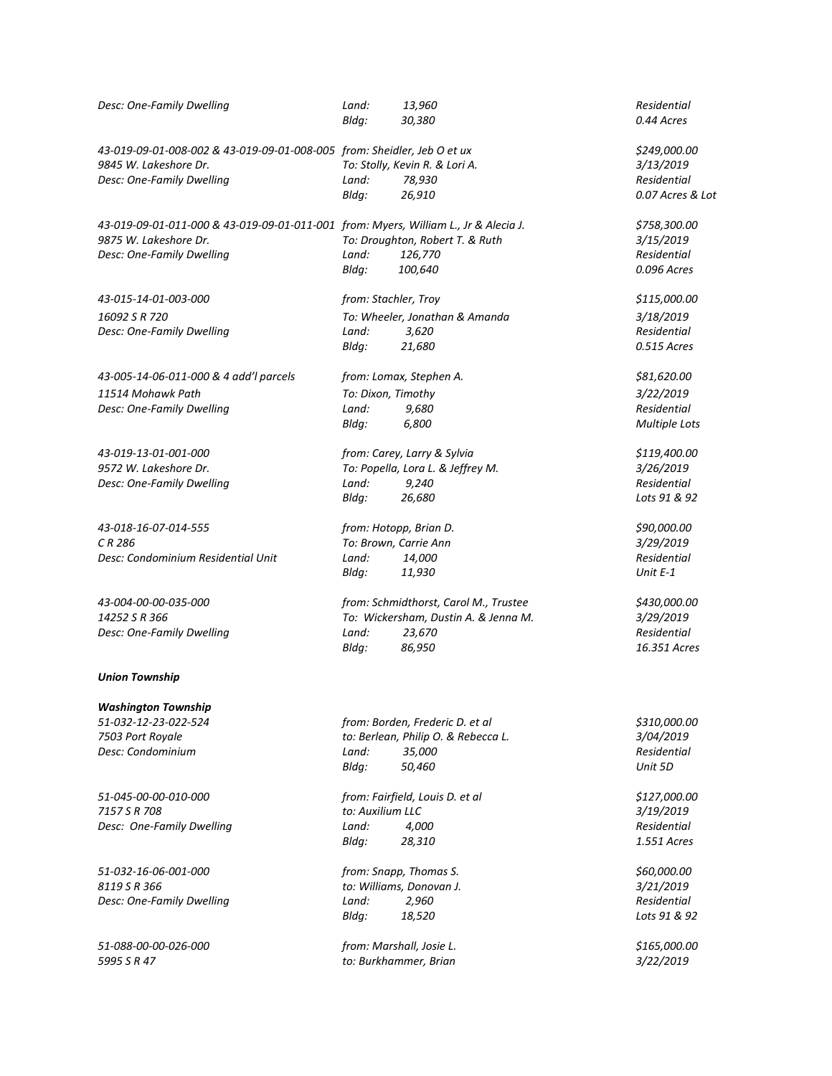| Desc: One-Family Dwelling                                                           | Land:<br>Bldg:   | 13,960<br>30,380                      | Residential<br>0.44 Acres |
|-------------------------------------------------------------------------------------|------------------|---------------------------------------|---------------------------|
| 43-019-09-01-008-002 & 43-019-09-01-008-005 from: Sheidler, Jeb O et ux             |                  |                                       | \$249,000.00              |
| 9845 W. Lakeshore Dr.                                                               |                  | To: Stolly, Kevin R. & Lori A.        | 3/13/2019                 |
| Desc: One-Family Dwelling                                                           | Land:            | 78,930                                | Residential               |
|                                                                                     | Bldg:            | 26,910                                | 0.07 Acres & Lot          |
| 43-019-09-01-011-000 & 43-019-09-01-011-001 from: Myers, William L., Jr & Alecia J. |                  |                                       | \$758,300.00              |
| 9875 W. Lakeshore Dr.                                                               |                  | To: Droughton, Robert T. & Ruth       | 3/15/2019                 |
| Desc: One-Family Dwelling                                                           | Land:            | 126,770                               | <b>Residential</b>        |
|                                                                                     | Bldg:            | 100,640                               | 0.096 Acres               |
| 43-015-14-01-003-000                                                                |                  | from: Stachler, Troy                  | \$115,000.00              |
| 16092 S R 720                                                                       |                  | To: Wheeler, Jonathan & Amanda        | 3/18/2019                 |
| Desc: One-Family Dwelling                                                           | Land:            | 3,620                                 | Residential               |
|                                                                                     | Bldg:            | 21,680                                | 0.515 Acres               |
| 43-005-14-06-011-000 & 4 add'l parcels                                              |                  | from: Lomax, Stephen A.               | \$81,620.00               |
| 11514 Mohawk Path                                                                   |                  | To: Dixon, Timothy                    | 3/22/2019                 |
| Desc: One-Family Dwelling                                                           | Land:            | 9,680                                 | Residential               |
|                                                                                     | Bldg:            | 6,800                                 | Multiple Lots             |
| 43-019-13-01-001-000                                                                |                  | from: Carey, Larry & Sylvia           | \$119,400.00              |
| 9572 W. Lakeshore Dr.                                                               |                  | To: Popella, Lora L. & Jeffrey M.     | 3/26/2019                 |
| Desc: One-Family Dwelling                                                           | Land:            | 9,240                                 | <b>Residential</b>        |
|                                                                                     | Bldg:            | 26,680                                | Lots 91 & 92              |
|                                                                                     |                  |                                       |                           |
| 43-018-16-07-014-555                                                                |                  | from: Hotopp, Brian D.                | \$90,000.00               |
| CR 286                                                                              |                  | To: Brown, Carrie Ann                 | 3/29/2019                 |
| Desc: Condominium Residential Unit                                                  | Land:            | 14,000                                | Residential               |
|                                                                                     | Bldg:            | 11,930                                | Unit $E-1$                |
| 43-004-00-00-035-000                                                                |                  | from: Schmidthorst, Carol M., Trustee | \$430,000.00              |
| 14252 S R 366                                                                       |                  | To: Wickersham, Dustin A. & Jenna M.  | 3/29/2019                 |
| Desc: One-Family Dwelling                                                           | Land:            | 23,670                                | Residential               |
|                                                                                     | Bldg:            | 86,950                                | 16.351 Acres              |
| <b>Union Township</b>                                                               |                  |                                       |                           |
| <b>Washington Township</b>                                                          |                  |                                       |                           |
| 51-032-12-23-022-524                                                                |                  | from: Borden, Frederic D. et al       | \$310,000.00              |
| 7503 Port Royale                                                                    |                  | to: Berlean, Philip O. & Rebecca L.   | 3/04/2019                 |
| Desc: Condominium                                                                   | Land:            | 35,000                                | Residential               |
|                                                                                     | Bldg:            | 50,460                                | Unit 5D                   |
| 51-045-00-00-010-000                                                                |                  | from: Fairfield, Louis D. et al       | \$127,000.00              |
| 7157 S R 708                                                                        | to: Auxilium LLC |                                       | 3/19/2019                 |
| Desc: One-Family Dwelling                                                           | Land:            | 4,000                                 | Residential               |
|                                                                                     | Bldg:            | 28,310                                | 1.551 Acres               |
| 51-032-16-06-001-000                                                                |                  | from: Snapp, Thomas S.                | \$60,000.00               |
| 8119 S R 366                                                                        |                  | to: Williams, Donovan J.              | 3/21/2019                 |
| Desc: One-Family Dwelling                                                           | Land:            | 2,960                                 | Residential               |
|                                                                                     | Bldg:            | 18,520                                | Lots 91 & 92              |
|                                                                                     |                  |                                       |                           |
| 51-088-00-00-026-000                                                                |                  | from: Marshall, Josie L.              | \$165,000.00              |

*5995 S R 47 to: Burkhammer, Brian 3/22/2019*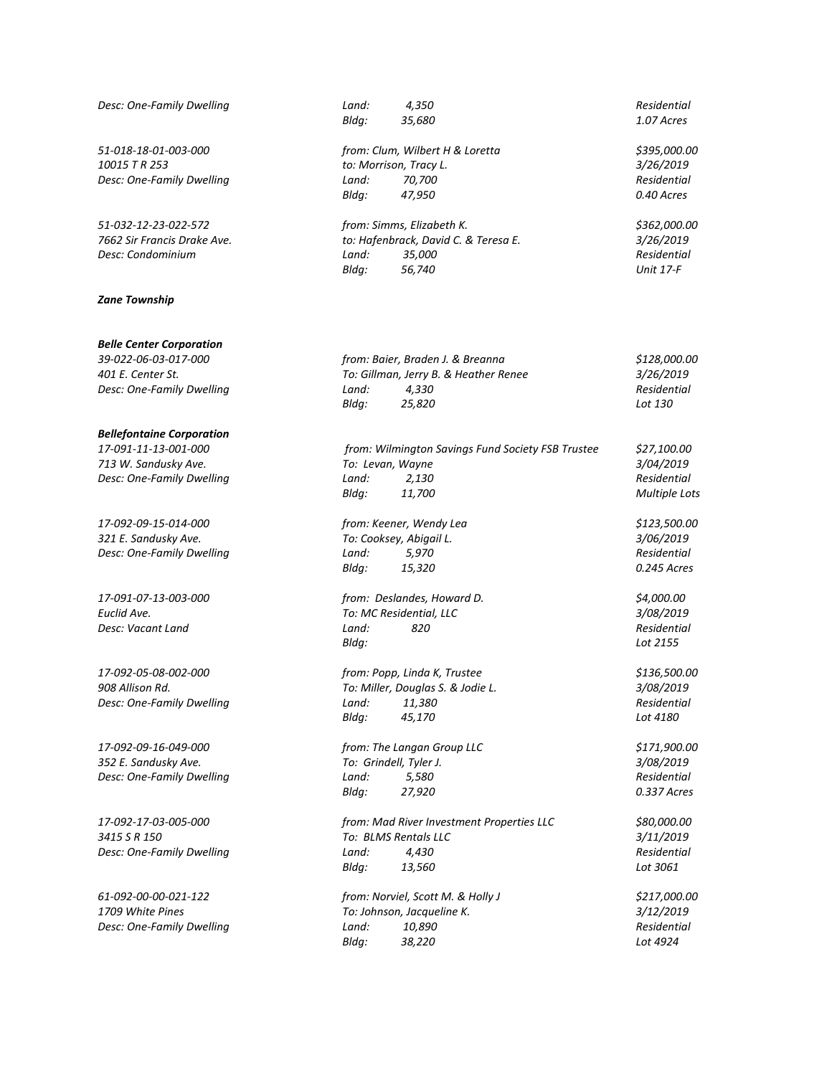*Desc: One-Family Dwelling Residence <i>Land:* 70,700

#### *Zane Township*

#### *Belle Center Corporation*

*Desc: One-Family Dwelling Land: 4,330* 

#### *Bellefontaine Corporation*

*17-092-09-16-049-000 from: The Langan Group LLC \$171,900.00*

*Desc: One-Family Dwelling Land: 4,430 Land:* 

*Desc: One-Family Dwelling Land: 10,890* 

*Bldg: 35,680 1.07 Acres*

*51-018-18-01-003-000 from: Clum, Wilbert H & Loretta \$395,000.00 10015 T R 253 to: Morrison, Tracy L. 3/26/2019 Bldg: 47,950 0.40 Acres*

*51-032-12-23-022-572 from: Simms, Elizabeth K. \$362,000.00 7662 Sir Francis Drake Ave. to: Hafenbrack, David C. & Teresa E. 3/26/2019 Desc: Condominium Land: 35,000 Residential Bldg: 56,740 Unit 17-F*

*39-022-06-03-017-000 from: Baier, Braden J. & Breanna \$128,000.00 401 E. Center St. To: Gillman, Jerry B. & Heather Renee 3/26/2019 Bldg: 25,820 Lot 130*

*17-091-11-13-001-000 from: Wilmington Savings Fund Society FSB Trustee \$27,100.00 713 W. Sandusky Ave. To: Levan, Wayne 3/04/2019 Desc: One-Family Dwelling Land: 2,130 Residential Bldg: 11,700 Multiple Lots 17-092-09-15-014-000 from: Keener, Wendy Lea \$123,500.00 321 E. Sandusky Ave. To: Cooksey, Abigail L. 3/06/2019 Desc: One-Family Dwelling Land: 5,970 Residential Bldg: 15,320 0.245 Acres*

*17-091-07-13-003-000 from: Deslandes, Howard D. \$4,000.00 Euclid Ave. To: MC Residential, LLC 3/08/2019 Desc: Vacant Land Land: 820 Residential Bldg: Lot 2155*

*17-092-05-08-002-000 from: Popp, Linda K, Trustee \$136,500.00 908 Allison Rd. To: Miller, Douglas S. & Jodie L. 3/08/2019 Desc: One-Family Dwelling Land: 11,380 Residential Bldg: 45,170 Lot 4180*

*352 E. Sandusky Ave. To: Grindell, Tyler J. 3/08/2019 Desc: One-Family Dwelling Land: 5,580 Residential Bldg: 27,920 0.337 Acres*

*17-092-17-03-005-000 from: Mad River Investment Properties LLC \$80,000.00 3415 S R 150 To: BLMS Rentals LLC 3/11/2019 Bldg: 13,560 Lot 3061*

*61-092-00-00-021-122 from: Norviel, Scott M. & Holly J \$217,000.00 1709 White Pines To: Johnson, Jacqueline K. 3/12/2019 Bldg: 38,220 Lot 4924*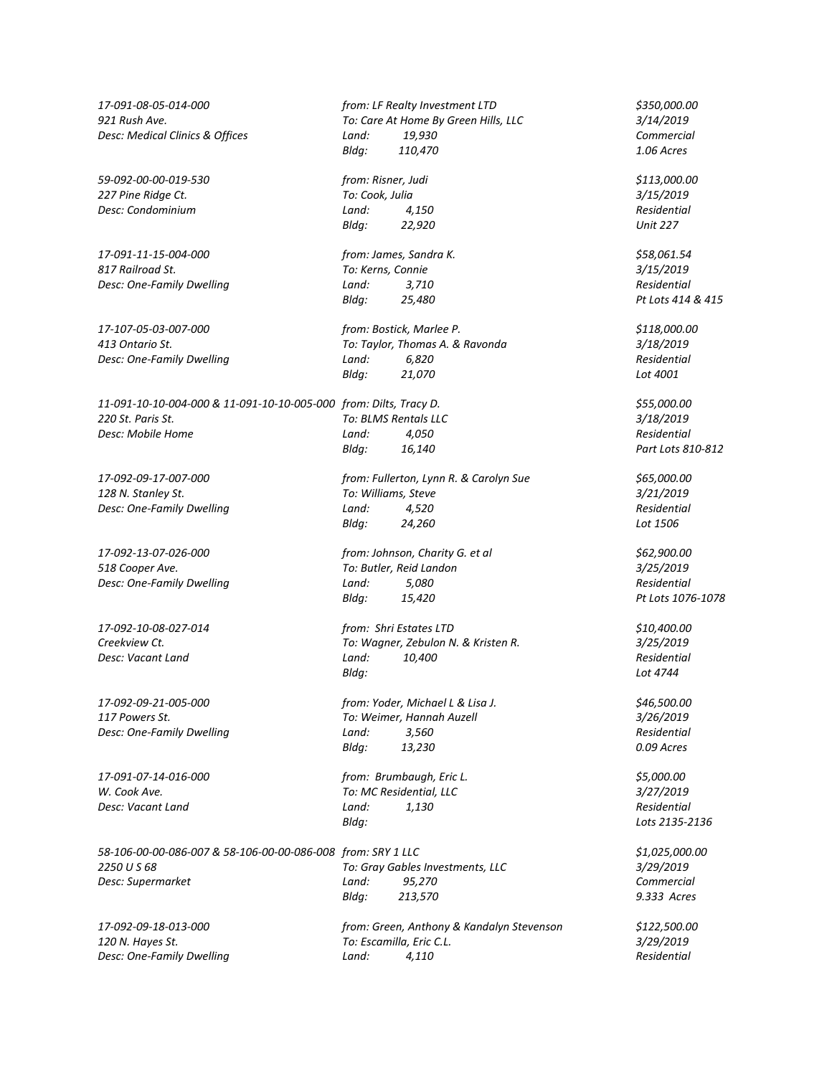*59-092-00-00-019-530 from: Risner, Judi \$113,000.00 227 Pine Ridge Ct. To: Cook, Julia 3/15/2019 Desc: Condominium Land: 4,150 Residential*

*17-091-11-15-004-000 from: James, Sandra K. \$58,061.54 817 Railroad St. To: Kerns, Connie 3/15/2019*

*11-091-10-10-004-000 & 11-091-10-10-005-000 from: Dilts, Tracy D. \$55,000.00 220 St. Paris St. To: BLMS Rentals LLC 3/18/2019 Desc: Mobile Home Land: 4,050 Residential*

*128 N. Stanley St.* 

*Desc: One-Family Dwelling Resc: One-Family Dwelling Reset Reset 10 <i>Reset Land:* 5,080

*17-092-09-21-005-000 from: Yoder, Michael L & Lisa J. \$46,500.00 Desc: One-Family Dwelling Resc: One-Family Dwelling Reset Reset 6 <i>Reset Land:* 3,560

*17-091-07-14-016-000 from: Brumbaugh, Eric L. \$5,000.00*

*58-106-00-00-086-007 & 58-106-00-00-086-008 from: SRY 1 LLC \$1,025,000.00* **Desc: Supermarket Land:** 95,270

*120 N. Hayes St. To: Escamilla, Eric C.L. 3/29/2019*

*17-091-08-05-014-000 from: LF Realty Investment LTD \$350,000.00 921 Rush Ave. To: Care At Home By Green Hills, LLC 3/14/2019 Desc: Medical Clinics & Offices Land: 19,930 Commercial Bldg: 110,470 1.06 Acres*

*Bldg: 22,920 Unit 227*

*Desc: One-Family Dwelling Land: 3,710 Residential*

*17-107-05-03-007-000 from: Bostick, Marlee P. \$118,000.00 413 Ontario St. To: Taylor, Thomas A. & Ravonda 3/18/2019 Desc: One-Family Dwelling Land: 6,820 Residential Bldg: 21,070 Lot 4001*

*Bldg: 16,140 Part Lots 810-812*

*17-092-09-17-007-000 from: Fullerton, Lynn R. & Carolyn Sue \$65,000.00 Desc: One-Family Dwelling Land: 4,520 Residential Bldg: 24,260 Lot 1506*

*17-092-13-07-026-000 from: Johnson, Charity G. et al \$62,900.00 518 Cooper Ave. To: Butler, Reid Landon 3/25/2019 Bldg: 15,420 Pt Lots 1076-1078*

*17-092-10-08-027-014 from: Shri Estates LTD \$10,400.00 Creekview Ct. To: Wagner, Zebulon N. & Kristen R. 3/25/2019 Desc: Vacant Land Land: 10,400 Residential Bldg: Lot 4744*

*117 Powers St. To: Weimer, Hannah Auzell 3/26/2019 Bldg: 13,230 0.09 Acres*

*W. Cook Ave. To: MC Residential, LLC 3/27/2019 Desc: Vacant Land Land: 1,130 Residential Bldg: Lots 2135-2136*

*2250 U S 68 To: Gray Gables Investments, LLC 3/29/2019 Bldg: 213,570 9.333 Acres*

*17-092-09-18-013-000 from: Green, Anthony & Kandalyn Stevenson \$122,500.00 Desc: One-Family Dwelling Land: 4,110 Residential*

*Bldg: 25,480 Pt Lots 414 & 415*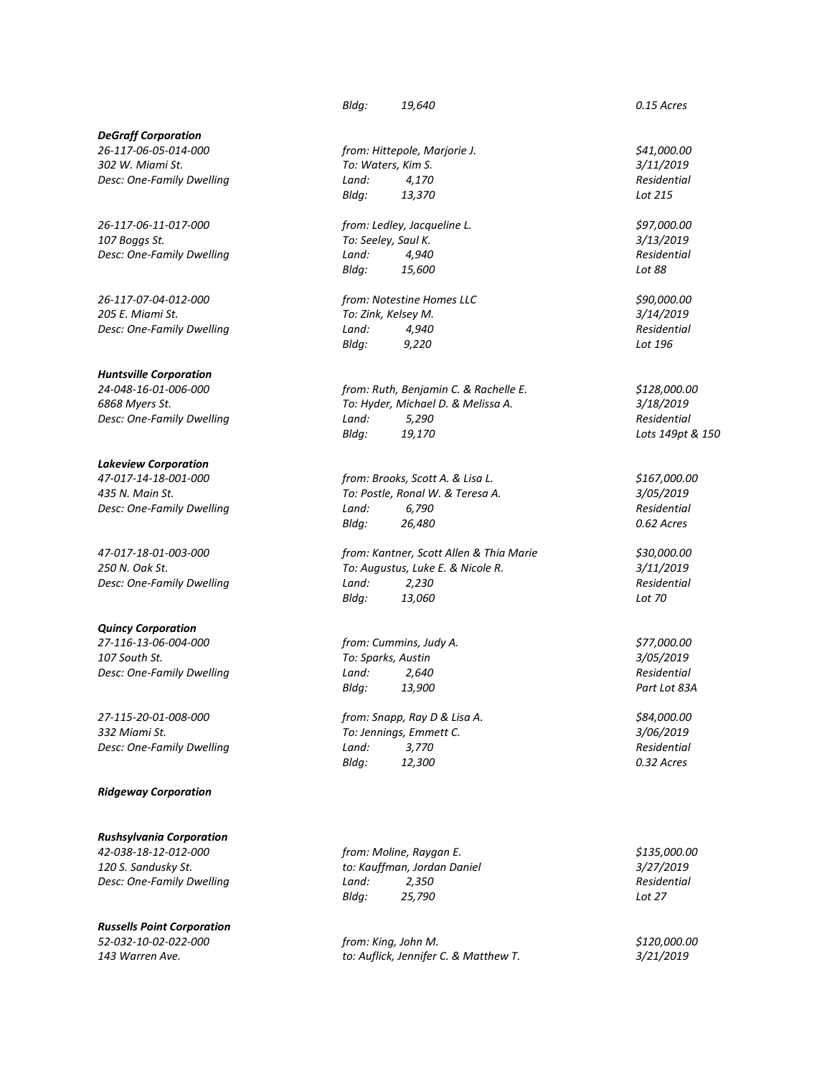## *DeGraff Corporation*

*302 W. Miami St. To: Waters, Kim S. 3/11/2019 Desc: One-Family Dwelling Land: 4,170* 

*26-117-06-11-017-000 from: Ledley, Jacqueline L. \$97,000.00 107 Boggs St. To: Seeley, Saul K. 3/13/2019 Desc: One-Family Dwelling Land: 4,940 Residential*

*26-117-07-04-012-000 from: Notestine Homes LLC \$90,000.00*

# *Huntsville Corporation*

# *Lakeview Corporation*

### *Quincy Corporation*

*27-116-13-06-004-000 from: Cummins, Judy A. \$77,000.00 107 South St. To: Sparks, Austin 3/05/2019*

*27-115-20-01-008-000 from: Snapp, Ray D & Lisa A. \$84,000.00 332 Miami St. To: Jennings, Emmett C. 3/06/2019*

#### *Ridgeway Corporation*

*Rushsylvania Corporation*

# *Russells Point Corporation*

*Bldg: 19,640 0.15 Acres*

*26-117-06-05-014-000 from: Hittepole, Marjorie J. \$41,000.00 Bldg: 13,370 Lot 215*

*Bldg: 15,600 Lot 88*

*205 E. Miami St. To: Zink, Kelsey M. 3/14/2019 Desc: One-Family Dwelling Land: 4,940 Residential Bldg: 9,220 Lot 196*

*24-048-16-01-006-000 from: Ruth, Benjamin C. & Rachelle E. \$128,000.00 6868 Myers St. To: Hyder, Michael D. & Melissa A. 3/18/2019 Desc: One-Family Dwelling Land: 5,290 Residential Bldg: 19,170 Lots 149pt & 150*

*47-017-14-18-001-000 from: Brooks, Scott A. & Lisa L. \$167,000.00 435 N. Main St. To: Postle, Ronal W. & Teresa A. 3/05/2019 Desc: One-Family Dwelling Land: 6,790 Residential Bldg: 26,480 0.62 Acres*

*47-017-18-01-003-000 from: Kantner, Scott Allen & Thia Marie \$30,000.00 250 N. Oak St. To: Augustus, Luke E. & Nicole R. 3/11/2019 Desc: One-Family Dwelling Land: 2,230 Residential Bldg: 13,060 Lot 70*

*Desc: One-Family Dwelling Land: 2,640 Residential Bldg: 13,900 Part Lot 83A*

*Desc: One-Family Dwelling Land:* 3,770<br>*Bldg:* 12,300 *Bldg: 12,300 0.32 Acres*

*42-038-18-12-012-000 from: Moline, Raygan E. \$135,000.00 120 S. Sandusky St. to: Kauffman, Jordan Daniel 3/27/2019 Desc: One-Family Dwelling Land: 2,350 Residential Bldg: 25,790 Lot 27*

*52-032-10-02-022-000 from: King, John M. \$120,000.00 143 Warren Ave. to: Auflick, Jennifer C. & Matthew T. 3/21/2019*